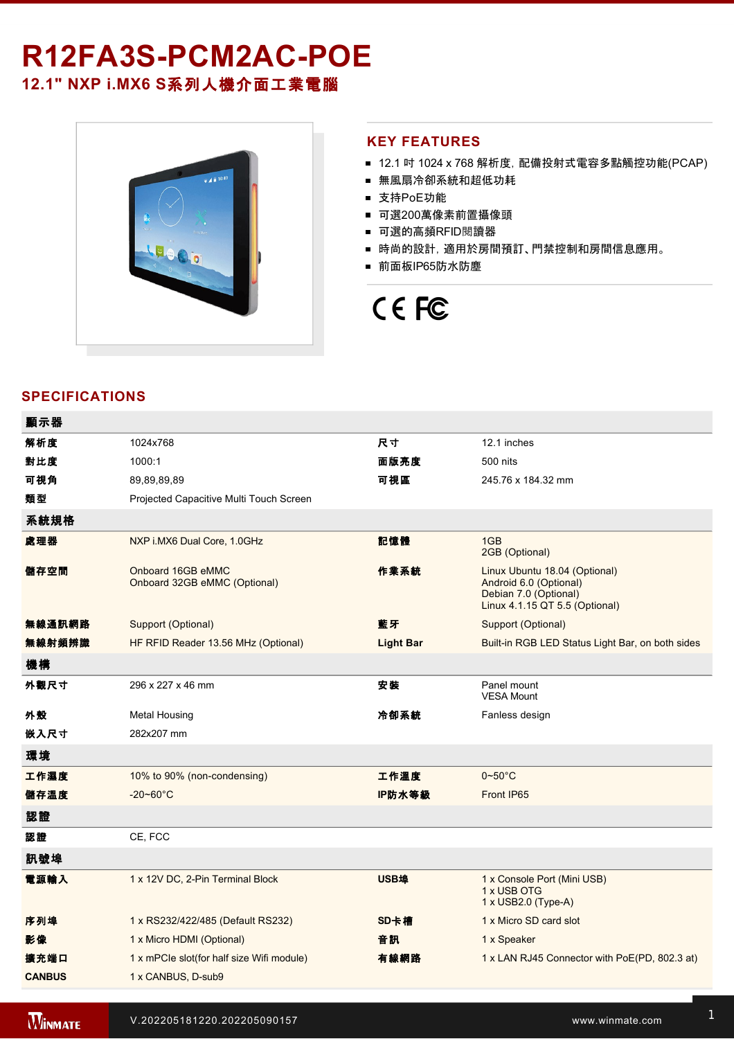# R12FA3S-PCM2AC-POE

# **12.1" NXP i.MX6 S**系列人機介面工業電腦



### **KEY FEATURES**

- 12.1 吋 1024 x 768 解析度, 配備投射式電容多點觸控功能(PCAP)
- 無風扇冷卻系統和超低功耗
- 支持PoE功能
- 可選200萬像素前置攝像頭
- 可選的高頻RFID閱讀器
- 時尚的設計, 適用於房間預訂、門禁控制和房間信息應用。
- 前面板IP65防水防塵

# CE FC

# **SPECIFICATIONS**

| 顯示器           |                                                   |                  |                                                                                                                    |  |  |
|---------------|---------------------------------------------------|------------------|--------------------------------------------------------------------------------------------------------------------|--|--|
| 解析度           | 1024x768                                          | 尺寸               | 12.1 inches                                                                                                        |  |  |
| 對比度           | 1000:1                                            | 面版亮度             | 500 nits                                                                                                           |  |  |
| 可視角           | 89,89,89,89                                       | 可視區              | 245.76 x 184.32 mm                                                                                                 |  |  |
| 類型            | Projected Capacitive Multi Touch Screen           |                  |                                                                                                                    |  |  |
| 系統規格          |                                                   |                  |                                                                                                                    |  |  |
| 處理器           | NXP i.MX6 Dual Core, 1.0GHz                       | 記憶體              | 1GB<br>2GB (Optional)                                                                                              |  |  |
| 儲存空間          | Onboard 16GB eMMC<br>Onboard 32GB eMMC (Optional) | 作業系統             | Linux Ubuntu 18.04 (Optional)<br>Android 6.0 (Optional)<br>Debian 7.0 (Optional)<br>Linux 4.1.15 QT 5.5 (Optional) |  |  |
| 無線通訊網路        | Support (Optional)                                | 藍牙               | Support (Optional)                                                                                                 |  |  |
| 無線射頻辨識        | HF RFID Reader 13.56 MHz (Optional)               | <b>Light Bar</b> | Built-in RGB LED Status Light Bar, on both sides                                                                   |  |  |
| 機構            |                                                   |                  |                                                                                                                    |  |  |
| 外觀尺寸          | 296 x 227 x 46 mm                                 | 安装               | Panel mount<br><b>VESA Mount</b>                                                                                   |  |  |
| 外殼            | <b>Metal Housing</b>                              | 冷卻系統             | Fanless design                                                                                                     |  |  |
| 嵌入尺寸          | 282x207 mm                                        |                  |                                                                                                                    |  |  |
| 環境            |                                                   |                  |                                                                                                                    |  |  |
| 工作濕度          | 10% to 90% (non-condensing)                       | 工作溫度             | $0 - 50$ °C                                                                                                        |  |  |
| 儲存溫度          | $-20 - 60^{\circ}$ C                              | IP防水等級           | Front IP65                                                                                                         |  |  |
| 認證            |                                                   |                  |                                                                                                                    |  |  |
| 認證            | CE, FCC                                           |                  |                                                                                                                    |  |  |
| 訊號埠           |                                                   |                  |                                                                                                                    |  |  |
| 電源輸入          | 1 x 12V DC, 2-Pin Terminal Block                  | USB埠             | 1 x Console Port (Mini USB)<br>1 x USB OTG<br>1 x USB2.0 (Type-A)                                                  |  |  |
| 序列埠           | 1 x RS232/422/485 (Default RS232)                 | SD卡槽             | 1 x Micro SD card slot                                                                                             |  |  |
| 影像            | 1 x Micro HDMI (Optional)                         | 音訊               | 1 x Speaker                                                                                                        |  |  |
| 擴充端口          | 1 x mPCIe slot(for half size Wifi module)         | 有線網路             | 1 x LAN RJ45 Connector with PoE(PD, 802.3 at)                                                                      |  |  |
| <b>CANBUS</b> | 1 x CANBUS, D-sub9                                |                  |                                                                                                                    |  |  |
|               |                                                   |                  |                                                                                                                    |  |  |

配件